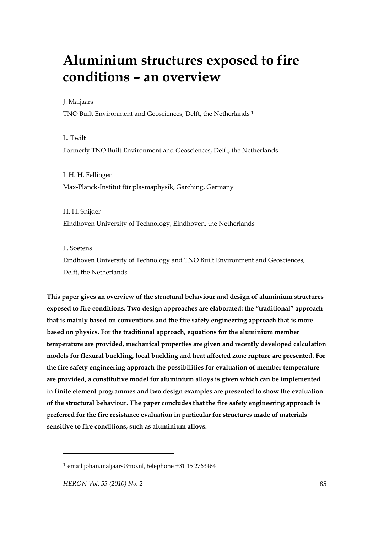# **Aluminium structures exposed to fire conditions – an overview**

J. Maljaars

TNO Built Environment and Geosciences, Delft, the Netherlands 1

L. Twilt Formerly TNO Built Environment and Geosciences, Delft, the Netherlands

J. H. H. Fellinger Max-Planck-Institut für plasmaphysik, Garching, Germany

H. H. Snijder Eindhoven University of Technology, Eindhoven, the Netherlands

F. Soetens

Eindhoven University of Technology and TNO Built Environment and Geosciences, Delft, the Netherlands

**This paper gives an overview of the structural behaviour and design of aluminium structures exposed to fire conditions. Two design approaches are elaborated: the "traditional" approach that is mainly based on conventions and the fire safety engineering approach that is more based on physics. For the traditional approach, equations for the aluminium member temperature are provided, mechanical properties are given and recently developed calculation models for flexural buckling, local buckling and heat affected zone rupture are presented. For the fire safety engineering approach the possibilities for evaluation of member temperature are provided, a constitutive model for aluminium alloys is given which can be implemented in finite element programmes and two design examples are presented to show the evaluation of the structural behaviour. The paper concludes that the fire safety engineering approach is preferred for the fire resistance evaluation in particular for structures made of materials sensitive to fire conditions, such as aluminium alloys.** 

 $\overline{a}$ 

<sup>1</sup> email johan.maljaars@tno.nl, telephone +31 15 2763464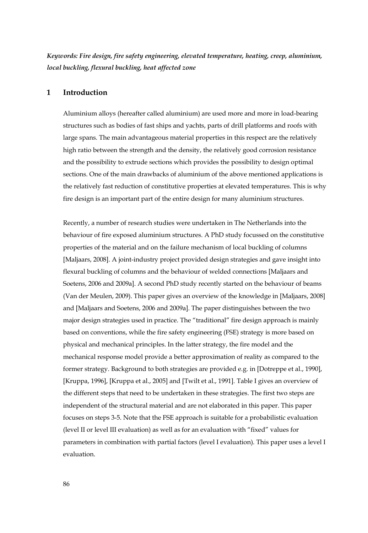*Keywords: Fire design, fire safety engineering, elevated temperature, heating, creep, aluminium, local buckling, flexural buckling, heat affected zone* 

## **1 Introduction**

Aluminium alloys (hereafter called aluminium) are used more and more in load-bearing structures such as bodies of fast ships and yachts, parts of drill platforms and roofs with large spans. The main advantageous material properties in this respect are the relatively high ratio between the strength and the density, the relatively good corrosion resistance and the possibility to extrude sections which provides the possibility to design optimal sections. One of the main drawbacks of aluminium of the above mentioned applications is the relatively fast reduction of constitutive properties at elevated temperatures. This is why fire design is an important part of the entire design for many aluminium structures.

Recently, a number of research studies were undertaken in The Netherlands into the behaviour of fire exposed aluminium structures. A PhD study focussed on the constitutive properties of the material and on the failure mechanism of local buckling of columns [Maljaars, 2008]. A joint-industry project provided design strategies and gave insight into flexural buckling of columns and the behaviour of welded connections [Maljaars and Soetens, 2006 and 2009a]. A second PhD study recently started on the behaviour of beams (Van der Meulen, 2009). This paper gives an overview of the knowledge in [Maljaars, 2008] and [Maljaars and Soetens, 2006 and 2009a]. The paper distinguishes between the two major design strategies used in practice. The "traditional" fire design approach is mainly based on conventions, while the fire safety engineering (FSE) strategy is more based on physical and mechanical principles. In the latter strategy, the fire model and the mechanical response model provide a better approximation of reality as compared to the former strategy. Background to both strategies are provided e.g. in [Dotreppe et al., 1990], [Kruppa, 1996], [Kruppa et al., 2005] and [Twilt et al., 1991]. Table I gives an overview of the different steps that need to be undertaken in these strategies. The first two steps are independent of the structural material and are not elaborated in this paper. This paper focuses on steps 3-5. Note that the FSE approach is suitable for a probabilistic evaluation (level II or level III evaluation) as well as for an evaluation with "fixed" values for parameters in combination with partial factors (level I evaluation). This paper uses a level I evaluation.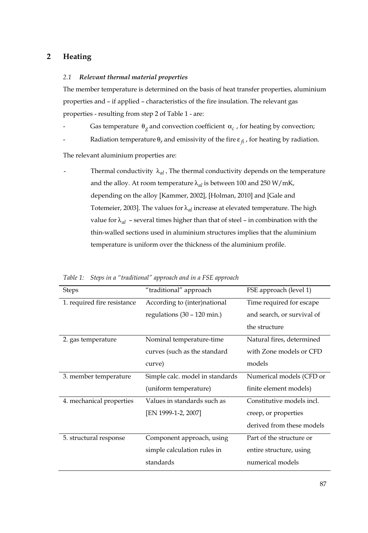# **2 Heating**

#### *2.1 Relevant thermal material properties*

The member temperature is determined on the basis of heat transfer properties, aluminium properties and – if applied – characteristics of the fire insulation. The relevant gas properties - resulting from step 2 of Table 1 - are:

- Gas temperature  $\theta_\varrho$  and convection coefficient  $\alpha_c$ , for heating by convection;
- Radiation temperature  $\theta_r$  and emissivity of the fire  $\varepsilon_{fi}$ , for heating by radiation.

The relevant aluminium properties are:

Thermal conductivity  $\lambda_{al}$ , The thermal conductivity depends on the temperature and the alloy. At room temperature  $\lambda_{al}$  is between 100 and 250 W/mK, depending on the alloy [Kammer, 2002], [Holman, 2010] and [Gale and Totemeier, 2003]. The values for λ*al* increase at elevated temperature. The high value for  $\lambda_{al}$  – several times higher than that of steel – in combination with the thin-walled sections used in aluminium structures implies that the aluminium temperature is uniform over the thickness of the aluminium profile.

| <b>Steps</b>                | "traditional" approach                | FSE approach (level 1)     |
|-----------------------------|---------------------------------------|----------------------------|
| 1. required fire resistance | According to (inter)national          | Time required for escape   |
|                             | regulations $(30 - 120 \text{ min.})$ | and search, or survival of |
|                             |                                       | the structure              |
| 2. gas temperature          | Nominal temperature-time              | Natural fires, determined  |
|                             | curves (such as the standard          | with Zone models or CFD    |
|                             | curve)                                | models                     |
| 3. member temperature       | Simple calc. model in standards       | Numerical models (CFD or   |
|                             | (uniform temperature)                 | finite element models)     |
| 4. mechanical properties    | Values in standards such as           | Constitutive models incl.  |
|                             | [EN 1999-1-2, 2007]                   | creep, or properties       |
|                             |                                       | derived from these models  |
| 5. structural response      | Component approach, using             | Part of the structure or   |
|                             | simple calculation rules in           | entire structure, using    |
|                             | standards                             | numerical models           |

*Table 1: Steps in a "traditional" approach and in a FSE approach*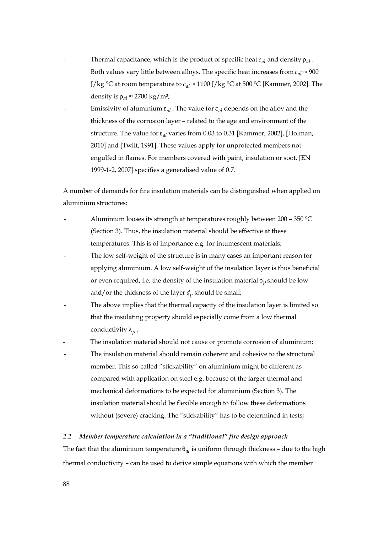- Thermal capacitance, which is the product of specific heat  $c_{al}$  and density  $\rho_{al}$ . Both values vary little between alloys. The specific heat increases from  $c_{al} \approx 900$ J/kg °C at room temperature to  $c_{al} \approx 1100$  J/kg °C at 500 °C [Kammer, 2002]. The density is  $\rho_{al} \approx 2700 \text{ kg/m}^3$ ;
- Emissivity of aluminium  $\varepsilon_{al}$ . The value for  $\varepsilon_{al}$  depends on the alloy and the thickness of the corrosion layer – related to the age and environment of the structure. The value for ε*al* varies from 0.03 to 0.31 [Kammer, 2002], [Holman, 2010] and [Twilt, 1991]. These values apply for unprotected members not engulfed in flames. For members covered with paint, insulation or soot, [EN 1999-1-2, 2007] specifies a generalised value of 0.7.

A number of demands for fire insulation materials can be distinguished when applied on aluminium structures:

- Aluminium looses its strength at temperatures roughly between  $200 350$  °C (Section 3). Thus, the insulation material should be effective at these temperatures. This is of importance e.g. for intumescent materials;
- The low self-weight of the structure is in many cases an important reason for applying aluminium. A low self-weight of the insulation layer is thus beneficial or even required, i.e. the density of the insulation material  $\rho_n$  should be low and/or the thickness of the layer  $d_p$  should be small;
- The above implies that the thermal capacity of the insulation layer is limited so that the insulating property should especially come from a low thermal conductivity  $λ<sub>n</sub>$ ;
- The insulation material should not cause or promote corrosion of aluminium; The insulation material should remain coherent and cohesive to the structural member. This so-called "stickability" on aluminium might be different as compared with application on steel e.g. because of the larger thermal and mechanical deformations to be expected for aluminium (Section 3). The insulation material should be flexible enough to follow these deformations without (severe) cracking. The "stickability" has to be determined in tests;

#### *2.2 Member temperature calculation in a "traditional" fire design approach*

The fact that the aluminium temperature θ*al* is uniform through thickness – due to the high thermal conductivity – can be used to derive simple equations with which the member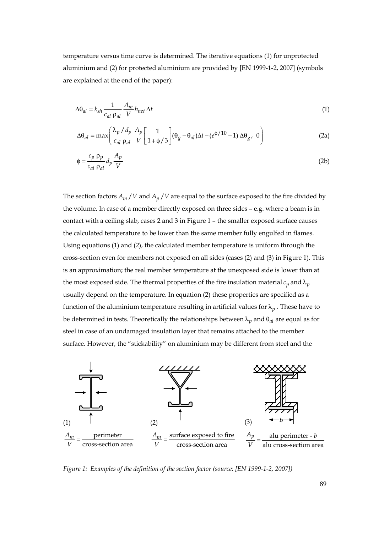temperature versus time curve is determined. The iterative equations (1) for unprotected aluminium and (2) for protected aluminium are provided by [EN 1999-1-2, 2007] (symbols are explained at the end of the paper):

$$
\Delta\Theta_{al} = k_{sh} \frac{1}{c_{al} \rho_{al}} \frac{A_m}{V} h_{net} \Delta t
$$
\n(1)

$$
\Delta\theta_{al} = \max\left(\frac{\lambda_p / d_p}{c_{al} \rho_{al}} \frac{A_p}{V} \left[\frac{1}{1 + \phi / 3}\right] (\theta_g - \theta_{al}) \Delta t - (e^{\phi / 10} - 1) \Delta\theta_g, 0\right)
$$
(2a)

$$
\phi = \frac{c_p \rho_p}{c_{al} \rho_{al}} d_p \frac{A_p}{V}
$$
 (2b)

The section factors  $A_m / V$  and  $A_p / V$  are equal to the surface exposed to the fire divided by the volume. In case of a member directly exposed on three sides – e.g. where a beam is in contact with a ceiling slab, cases 2 and 3 in Figure 1 – the smaller exposed surface causes the calculated temperature to be lower than the same member fully engulfed in flames. Using equations (1) and (2), the calculated member temperature is uniform through the cross-section even for members not exposed on all sides (cases (2) and (3) in Figure 1). This is an approximation; the real member temperature at the unexposed side is lower than at the most exposed side. The thermal properties of the fire insulation material  $c_p$  and  $\lambda_p$ usually depend on the temperature. In equation (2) these properties are specified as a function of the aluminium temperature resulting in artificial values for  $\lambda_p$ . These have to be determined in tests. Theoretically the relationships between λ*<sup>p</sup>* and θ*al* are equal as for steel in case of an undamaged insulation layer that remains attached to the member surface. However, the "stickability" on aluminium may be different from steel and the



*Figure 1: Examples of the definition of the section factor (source: [EN 1999-1-2, 2007])*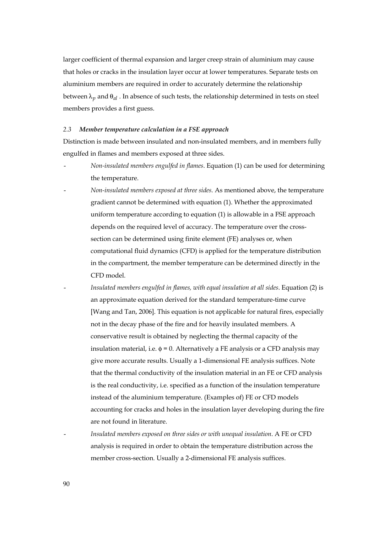larger coefficient of thermal expansion and larger creep strain of aluminium may cause that holes or cracks in the insulation layer occur at lower temperatures. Separate tests on aluminium members are required in order to accurately determine the relationship between  $\lambda_n$  and  $\theta_{al}$ . In absence of such tests, the relationship determined in tests on steel members provides a first guess.

#### *2.3 Member temperature calculation in a FSE approach*

Distinction is made between insulated and non-insulated members, and in members fully engulfed in flames and members exposed at three sides.

- *Non-insulated members engulfed in flames*. Equation (1) can be used for determining the temperature.
- *Non-insulated members exposed at three sides*. As mentioned above, the temperature gradient cannot be determined with equation (1). Whether the approximated uniform temperature according to equation (1) is allowable in a FSE approach depends on the required level of accuracy. The temperature over the crosssection can be determined using finite element (FE) analyses or, when computational fluid dynamics (CFD) is applied for the temperature distribution in the compartment, the member temperature can be determined directly in the CFD model.
	- *Insulated members engulfed in flames, with equal insulation at all sides*. Equation (2) is an approximate equation derived for the standard temperature-time curve [Wang and Tan, 2006]. This equation is not applicable for natural fires, especially not in the decay phase of the fire and for heavily insulated members. A conservative result is obtained by neglecting the thermal capacity of the insulation material, i.e.  $\phi = 0$ . Alternatively a FE analysis or a CFD analysis may give more accurate results. Usually a 1-dimensional FE analysis suffices. Note that the thermal conductivity of the insulation material in an FE or CFD analysis is the real conductivity, i.e. specified as a function of the insulation temperature instead of the aluminium temperature. (Examples of) FE or CFD models accounting for cracks and holes in the insulation layer developing during the fire are not found in literature.
		- *Insulated members exposed on three sides or with unequal insulation*. A FE or CFD analysis is required in order to obtain the temperature distribution across the member cross-section. Usually a 2-dimensional FE analysis suffices.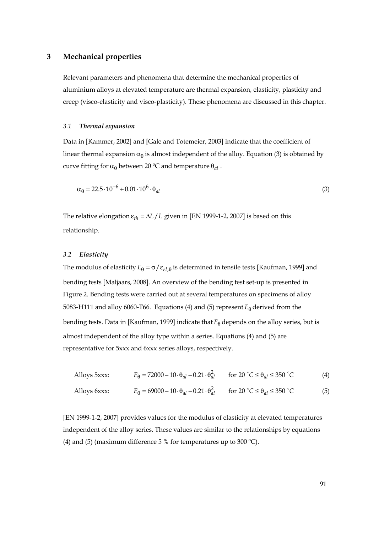## **3 Mechanical properties**

Relevant parameters and phenomena that determine the mechanical properties of aluminium alloys at elevated temperature are thermal expansion, elasticity, plasticity and creep (visco-elasticity and visco-plasticity). These phenomena are discussed in this chapter.

#### *3.1 Thermal expansion*

Data in [Kammer, 2002] and [Gale and Totemeier, 2003] indicate that the coefficient of linear thermal expansion  $\alpha_{\theta}$  is almost independent of the alloy. Equation (3) is obtained by curve fitting for  $\alpha_{\theta}$  between 20 °C and temperature  $\theta_{al}$ .

$$
\alpha_{\theta} = 22.5 \cdot 10^{-6} + 0.01 \cdot 10^{6} \cdot \theta_{al} \tag{3}
$$

The relative elongation  $\varepsilon_{th} = \Delta L / L$  given in [EN 1999-1-2, 2007] is based on this relationship.

#### *3.2 Elasticity*

The modulus of elasticity  $E_\theta = \sigma / \varepsilon_{el,\theta}$  is determined in tensile tests [Kaufman, 1999] and bending tests [Maljaars, 2008]. An overview of the bending test set-up is presented in Figure 2. Bending tests were carried out at several temperatures on specimens of alloy 5083-H111 and alloy 6060-T66. Equations (4) and (5) represent  $E_\theta$  derived from the bending tests. Data in [Kaufman, 1999] indicate that *E*θ depends on the alloy series, but is almost independent of the alloy type within a series. Equations (4) and (5) are representative for 5xxx and 6xxx series alloys, respectively.

$$
\text{Alloys 5xxx:} \qquad E_{\theta} = 72000 - 10 \cdot \theta_{al} - 0.21 \cdot \theta_{al}^2 \qquad \text{for 20 } ^{\circ}C \le \theta_{al} \le 350 \text{ } ^{\circ}C \tag{4}
$$

Alloys 6xxx:  $E_{\theta} = 69000 - 10 \cdot \theta_{al} - 0.21 \cdot \theta_{al}^2$  for 20 °C  $\le \theta_{al} \le 350$  °C (5)

[EN 1999-1-2, 2007] provides values for the modulus of elasticity at elevated temperatures independent of the alloy series. These values are similar to the relationships by equations (4) and (5) (maximum difference 5 % for temperatures up to 300 °C).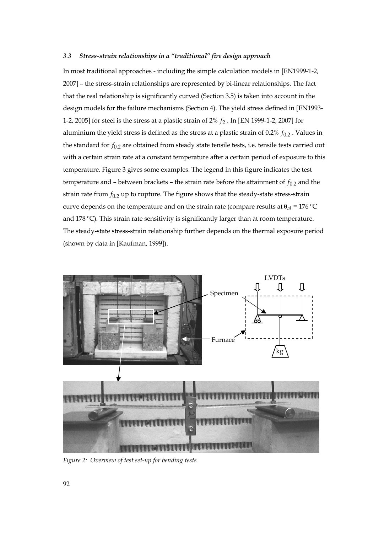#### *3.3 Stress-strain relationships in a "traditional" fire design approach*

In most traditional approaches - including the simple calculation models in [EN1999-1-2, 2007] – the stress-strain relationships are represented by bi-linear relationships. The fact that the real relationship is significantly curved (Section 3.5) is taken into account in the design models for the failure mechanisms (Section 4). The yield stress defined in [EN1993- 1-2, 2005] for steel is the stress at a plastic strain of 2%  $f_2$ . In [EN 1999-1-2, 2007] for aluminium the yield stress is defined as the stress at a plastic strain of  $0.2\%$   $f_{0.2}$ . Values in the standard for  $f_{0,2}$  are obtained from steady state tensile tests, i.e. tensile tests carried out with a certain strain rate at a constant temperature after a certain period of exposure to this temperature. Figure 3 gives some examples. The legend in this figure indicates the test temperature and – between brackets – the strain rate before the attainment of  $f_{0,2}$  and the strain rate from  $f_{0.2}$  up to rupture. The figure shows that the steady-state stress-strain curve depends on the temperature and on the strain rate (compare results at  $\theta_{al} = 176 \degree C$ and 178 ºC). This strain rate sensitivity is significantly larger than at room temperature. The steady-state stress-strain relationship further depends on the thermal exposure period (shown by data in [Kaufman, 1999]).



*Figure 2: Overview of test set-up for bending tests*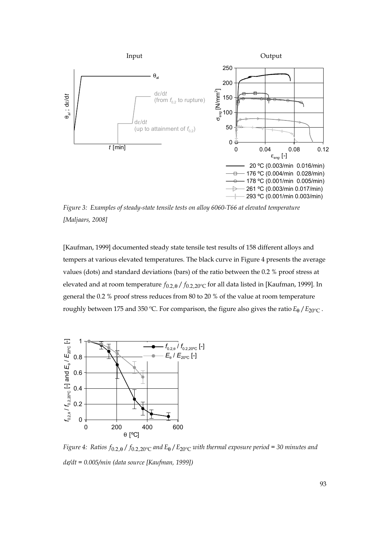

*Figure 3: Examples of steady-state tensile tests on alloy 6060-T66 at elevated temperature [Maljaars, 2008]* 

[Kaufman, 1999] documented steady state tensile test results of 158 different alloys and tempers at various elevated temperatures. The black curve in Figure 4 presents the average values (dots) and standard deviations (bars) of the ratio between the 0.2 % proof stress at elevated and at room temperature  $f_{0,2,0}/f_{0,2,20}$  for all data listed in [Kaufman, 1999]. In general the 0.2 % proof stress reduces from 80 to 20 % of the value at room temperature roughly between 175 and 350 °C. For comparison, the figure also gives the ratio  $E_0 / E_{20$ °C.



*Figure 4: Ratios*  $f_{0.2,0}$  /  $f_{0.2,20}$ °C and  $E_0$  /  $E_{20}$ °C with thermal exposure period = 30 minutes and *d*ε*/dt = 0.005/min (data source [Kaufman, 1999])*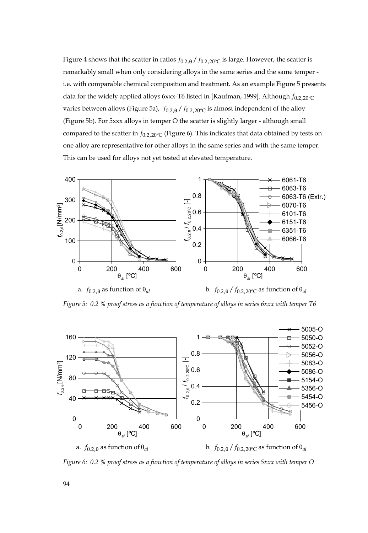Figure 4 shows that the scatter in ratios  $f_{0.2,0}/f_{0.2,20}$ <sup>o</sup>c is large. However, the scatter is remarkably small when only considering alloys in the same series and the same temper i.e. with comparable chemical composition and treatment. As an example Figure 5 presents data for the widely applied alloys 6xxx-T6 listed in [Kaufman, 1999]. Although  $f_{0.2,20^{\circ}C}$ varies between alloys (Figure 5a),  $f_{0.2,0}/f_{0.2,20}$ <sup>o</sup>c is almost independent of the alloy (Figure 5b). For 5xxx alloys in temper O the scatter is slightly larger - although small compared to the scatter in  $f_{0.2,20^{\circ}C}$  (Figure 6). This indicates that data obtained by tests on one alloy are representative for other alloys in the same series and with the same temper. This can be used for alloys not yet tested at elevated temperature.



*Figure 5: 0.2 % proof stress as a function of temperature of alloys in series 6xxx with temper T6* 



*Figure 6: 0.2 % proof stress as a function of temperature of alloys in series 5xxx with temper O*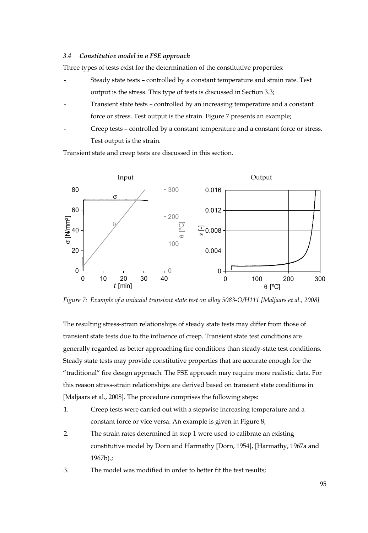#### *3.4 Constitutive model in a FSE approach*

Three types of tests exist for the determination of the constitutive properties:

- Steady state tests controlled by a constant temperature and strain rate. Test output is the stress. This type of tests is discussed in Section 3.3;
- Transient state tests controlled by an increasing temperature and a constant force or stress. Test output is the strain. Figure 7 presents an example;
- Creep tests controlled by a constant temperature and a constant force or stress. Test output is the strain.

Transient state and creep tests are discussed in this section.



*Figure 7: Example of a uniaxial transient state test on alloy 5083-O/H111 [Maljaars et al., 2008]* 

The resulting stress-strain relationships of steady state tests may differ from those of transient state tests due to the influence of creep. Transient state test conditions are generally regarded as better approaching fire conditions than steady-state test conditions. Steady state tests may provide constitutive properties that are accurate enough for the "traditional" fire design approach. The FSE approach may require more realistic data. For this reason stress-strain relationships are derived based on transient state conditions in [Maljaars et al., 2008]. The procedure comprises the following steps:

- 1. Creep tests were carried out with a stepwise increasing temperature and a constant force or vice versa. An example is given in Figure 8;
- 2. The strain rates determined in step 1 were used to calibrate an existing constitutive model by Dorn and Harmathy [Dorn, 1954], [Harmathy, 1967a and 1967b).;
- 3. The model was modified in order to better fit the test results;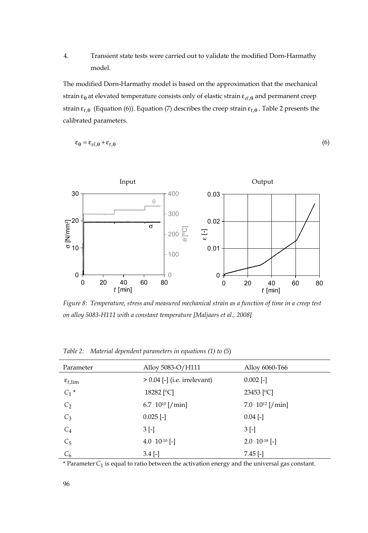# 4. Transient state tests were carried out to validate the modified Dorn-Harmathy model.

The modified Dorn-Harmathy model is based on the approximation that the mechanical strain ε<sub>θ</sub> at elevated temperature consists only of elastic strain ε<sub>el.θ</sub> and permanent creep strain  $\varepsilon_{t,\theta}$  (Equation (6)). Equation (7) describes the creep strain  $\varepsilon_{t,\theta}$ . Table 2 presents the calibrated parameters.

$$
\varepsilon_{\theta} = \varepsilon_{el,\theta} + \varepsilon_{t,\theta} \tag{6}
$$



*Figure 8: Temperature, stress and measured mechanical strain as a function of time in a creep test on alloy 5083-H111 with a constant temperature [Maljaars et al., 2008]* 

| Parameter                    | Alloy 5083-O/H111              | Alloy 6060-T66             |
|------------------------------|--------------------------------|----------------------------|
| $\varepsilon_{t,\text{lim}}$ | $> 0.04$ [-] (i.e. irrelevant) | $0.002$ [-]                |
| $C_1$ *                      | 18282 [ <sup>o</sup> C]        | 23453 [ <sup>o</sup> C]    |
| $C_2$                        | $6.7 \cdot 10^{10}$ [/min]     | $7.0 \cdot 10^{12}$ [/min] |
| $C_3$                        | $0.025$ [-]                    | $0.04$ [-]                 |
| $C_4$                        | $3$ [-]                        | $3$ [-]                    |
| $C_5$                        | $4.0 \cdot 10^{-10}$ [-]       | $2.0 \cdot 10^{-18}$ [-]   |
| $C_6$                        | $3.4$ [-]                      | $7.45$ [-]                 |

*Table 2: Material dependent parameters in equations (1) to (5*)

\* Parameter*C*<sup>1</sup> is equal to ratio between the activation energy and the universal gas constant.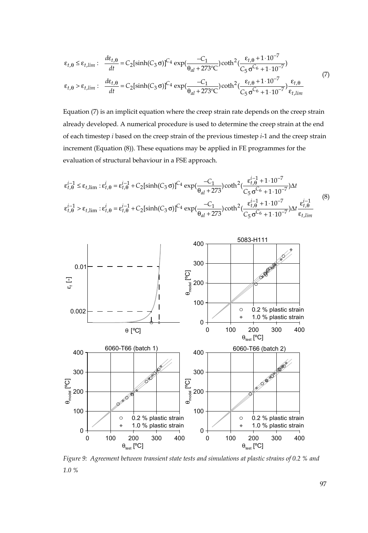$$
\varepsilon_{t,\theta} \leq \varepsilon_{t,lim} : \frac{d\varepsilon_{t,\theta}}{dt} = C_2[\sinh(C_3 \sigma)]^{C_4} \exp(\frac{-C_1}{\theta_{al} + 273^{\circ}C}) \coth^2(\frac{\varepsilon_{t,\theta} + 1 \cdot 10^{-7}}{C_5 \sigma^{C_6} + 1 \cdot 10^{-7}})
$$
  

$$
\varepsilon_{t,\theta} > \varepsilon_{t,lim} : \frac{d\varepsilon_{t,\theta}}{dt} = C_2[\sinh(C_3 \sigma)]^{C_4} \exp(\frac{-C_1}{\theta_{al} + 273^{\circ}C}) \coth^2(\frac{\varepsilon_{t,\theta} + 1 \cdot 10^{-7}}{C_5 \sigma^{C_6} + 1 \cdot 10^{-7}}) \frac{\varepsilon_{t,\theta}}{\varepsilon_{t,lim}} \tag{7}
$$

Equation (7) is an implicit equation where the creep strain rate depends on the creep strain already developed. A numerical procedure is used to determine the creep strain at the end of each timestep *i* based on the creep strain of the previous timestep *i*-1 and the creep strain increment (Equation (8)). These equations may be applied in FE programmes for the evaluation of structural behaviour in a FSE approach.

$$
\varepsilon_{t,\theta}^{i-1} \le \varepsilon_{t,\lim} : \varepsilon_{t,\theta}^{i} = \varepsilon_{t,\theta}^{i-1} + C_{2}[\sinh(C_{3}\sigma)]^{C_{4}} \exp(\frac{-C_{1}}{\theta_{al} + 273}) \coth^{2}(\frac{\varepsilon_{t,\theta}^{i-1} + 1 \cdot 10^{-7}}{C_{5}\sigma^{C_{6}} + 1 \cdot 10^{-7}})\Delta t
$$
\n
$$
\varepsilon_{t,\theta}^{i-1} > \varepsilon_{t,\lim} : \varepsilon_{t,\theta}^{i} = \varepsilon_{t,\theta}^{i-1} + C_{2}[\sinh(C_{3}\sigma)]^{C_{4}} \exp(\frac{-C_{1}}{\theta_{al} + 273}) \coth^{2}(\frac{\varepsilon_{t,\theta}^{i-1} + 1 \cdot 10^{-7}}{C_{5}\sigma^{C_{6}} + 1 \cdot 10^{-7}})\Delta t \frac{\varepsilon_{t,\theta}^{i-1}}{\varepsilon_{t,\lim}} \tag{8}
$$



*Figure 9: Agreement between transient state tests and simulations at plastic strains of 0.2 % and 1.0 %*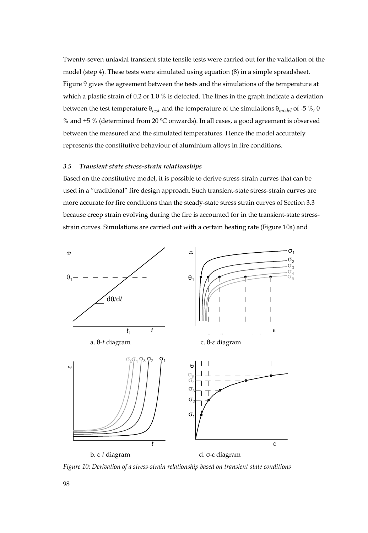Twenty-seven uniaxial transient state tensile tests were carried out for the validation of the model (step 4). These tests were simulated using equation (8) in a simple spreadsheet. Figure 9 gives the agreement between the tests and the simulations of the temperature at which a plastic strain of 0.2 or 1.0 % is detected. The lines in the graph indicate a deviation between the test temperature θ*test* and the temperature of the simulations θ*model* of -5 %, 0 % and +5 % (determined from 20 ºC onwards). In all cases, a good agreement is observed between the measured and the simulated temperatures. Hence the model accurately represents the constitutive behaviour of aluminium alloys in fire conditions.

#### *3.5 Transient state stress-strain relationships*

Based on the constitutive model, it is possible to derive stress-strain curves that can be used in a "traditional" fire design approach. Such transient-state stress-strain curves are more accurate for fire conditions than the steady-state stress strain curves of Section 3.3 because creep strain evolving during the fire is accounted for in the transient-state stressstrain curves. Simulations are carried out with a certain heating rate (Figure 10a) and



*Figure 10: Derivation of a stress-strain relationship based on transient state conditions*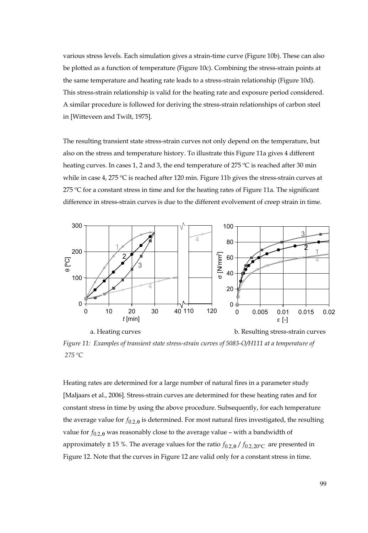various stress levels. Each simulation gives a strain-time curve (Figure 10b). These can also be plotted as a function of temperature (Figure 10c). Combining the stress-strain points at the same temperature and heating rate leads to a stress-strain relationship (Figure 10d). This stress-strain relationship is valid for the heating rate and exposure period considered. A similar procedure is followed for deriving the stress-strain relationships of carbon steel in [Witteveen and Twilt, 1975].

The resulting transient state stress-strain curves not only depend on the temperature, but also on the stress and temperature history. To illustrate this Figure 11a gives 4 different heating curves. In cases 1, 2 and 3, the end temperature of 275 °C is reached after 30 min while in case 4, 275 ºC is reached after 120 min. Figure 11b gives the stress-strain curves at  $275$  °C for a constant stress in time and for the heating rates of Figure 11a. The significant difference in stress-strain curves is due to the different evolvement of creep strain in time.



*Figure 11: Examples of transient state stress-strain curves of 5083-O/H111 at a temperature of 275 ºC* 

Heating rates are determined for a large number of natural fires in a parameter study [Maljaars et al., 2006]. Stress-strain curves are determined for these heating rates and for constant stress in time by using the above procedure. Subsequently, for each temperature the average value for  $f_{0.2,θ}$  is determined. For most natural fires investigated, the resulting value for  $f_{0,2,\theta}$  was reasonably close to the average value – with a bandwidth of approximately  $\pm$  15 %. The average values for the ratio  $f_{0.2,0}$  /  $f_{0.2,20}$ <sup>o</sup> are presented in Figure 12. Note that the curves in Figure 12 are valid only for a constant stress in time.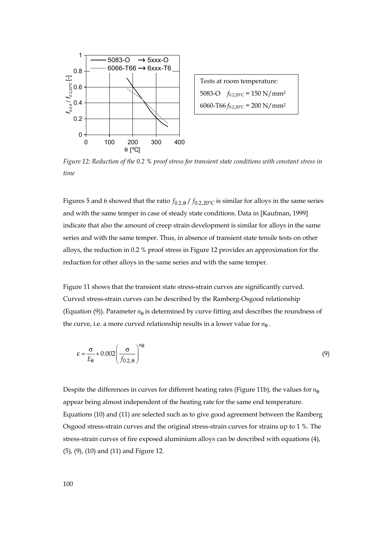

Tests at room temperature: 5083-O  $f_{0.2,20\degree}$  = 150 N/mm<sup>2</sup> 6060-T66  $f_{0.2,20\degree}$  = 200 N/mm<sup>2</sup>

*Figure 12: Reduction of the 0.2 % proof stress for transient state conditions with constant stress in time* 

Figures 5 and 6 showed that the ratio  $f_{0.2,0}/f_{0.2,20}$ <sup>o</sup>c is similar for alloys in the same series and with the same temper in case of steady state conditions. Data in [Kaufman, 1999] indicate that also the amount of creep strain development is similar for alloys in the same series and with the same temper. Thus, in absence of transient state tensile tests on other alloys, the reduction in 0.2 % proof stress in Figure 12 provides an approximation for the reduction for other alloys in the same series and with the same temper.

Figure 11 shows that the transient state stress-strain curves are significantly curved. Curved stress-strain curves can be described by the Ramberg-Osgood relationship (Equation (9)). Parameter  $n_{\theta}$  is determined by curve fitting and describes the roundness of the curve, i.e. a more curved relationship results in a lower value for  $n_{\theta}$ .

$$
\varepsilon = \frac{\sigma}{E_{\theta}} + 0.002 \left( \frac{\sigma}{f_{0.2,\theta}} \right)^{n_{\theta}} \tag{9}
$$

Despite the differences in curves for different heating rates (Figure 11b), the values for  $n_{\theta}$ appear being almost independent of the heating rate for the same end temperature. Equations (10) and (11) are selected such as to give good agreement between the Ramberg Osgood stress-strain curves and the original stress-strain curves for strains up to 1 %. The stress-strain curves of fire exposed aluminium alloys can be described with equations (4), (5), (9), (10) and (11) and Figure 12.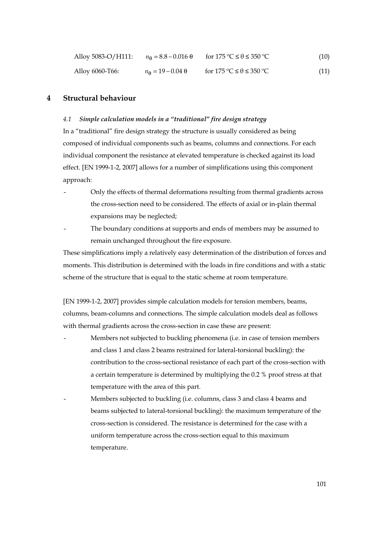| Alloy 5083-O/H111: | $n_{\rm A} = 8.8 - 0.016 \ \theta$ | for $175\text{ °C} \leq \theta \leq 350\text{ °C}$ | (10) |
|--------------------|------------------------------------|----------------------------------------------------|------|
| Alloy 6060-T66:    | $n_{\Theta} = 19 - 0.04 \ \theta$  | for $175\text{ °C} \leq \theta \leq 350\text{ °C}$ | (11) |

# **4 Structural behaviour**

#### *4.1 Simple calculation models in a "traditional" fire design strategy*

In a "traditional" fire design strategy the structure is usually considered as being composed of individual components such as beams, columns and connections. For each individual component the resistance at elevated temperature is checked against its load effect. [EN 1999-1-2, 2007] allows for a number of simplifications using this component approach:

- Only the effects of thermal deformations resulting from thermal gradients across the cross-section need to be considered. The effects of axial or in-plain thermal expansions may be neglected;
- The boundary conditions at supports and ends of members may be assumed to remain unchanged throughout the fire exposure.

These simplifications imply a relatively easy determination of the distribution of forces and moments. This distribution is determined with the loads in fire conditions and with a static scheme of the structure that is equal to the static scheme at room temperature.

[EN 1999-1-2, 2007] provides simple calculation models for tension members, beams, columns, beam-columns and connections. The simple calculation models deal as follows with thermal gradients across the cross-section in case these are present:

- Members not subjected to buckling phenomena (i.e. in case of tension members and class 1 and class 2 beams restrained for lateral-torsional buckling): the contribution to the cross-sectional resistance of each part of the cross-section with a certain temperature is determined by multiplying the 0.2 % proof stress at that temperature with the area of this part.
- Members subjected to buckling (i.e. columns, class 3 and class 4 beams and beams subjected to lateral-torsional buckling): the maximum temperature of the cross-section is considered. The resistance is determined for the case with a uniform temperature across the cross-section equal to this maximum temperature.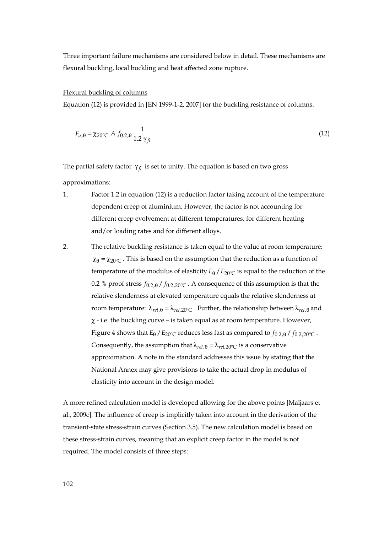Three important failure mechanisms are considered below in detail. These mechanisms are flexural buckling, local buckling and heat affected zone rupture.

#### Flexural buckling of columns

Equation (12) is provided in [EN 1999-1-2, 2007] for the buckling resistance of columns.

$$
F_{u,\theta} = \chi_{20^{\circ}C} A f_{0.2,\theta} \frac{1}{1.2 \gamma_{fi}}
$$
 (12)

The partial safety factor  $\gamma_{fi}$  is set to unity. The equation is based on two gross approximations:

- 1. Factor 1.2 in equation (12) is a reduction factor taking account of the temperature dependent creep of aluminium. However, the factor is not accounting for different creep evolvement at different temperatures, for different heating and/or loading rates and for different alloys.
- 2. The relative buckling resistance is taken equal to the value at room temperature:  $\chi_{\theta} = \chi_{20^{\circ}C}$ . This is based on the assumption that the reduction as a function of temperature of the modulus of elasticity  $E_0 / E_{20\degree C}$  is equal to the reduction of the 0.2 % proof stress  $f_{0.2, \theta}/f_{0.2, 20^{\circ}C}$ . A consequence of this assumption is that the relative slenderness at elevated temperature equals the relative slenderness at room temperature:  $\lambda_{rel, \theta} = \lambda_{rel, 20^{\circ}C}$ . Further, the relationship between  $\lambda_{rel, \theta}$  and χ - i.e. the buckling curve – is taken equal as at room temperature. However, Figure 4 shows that  $E_\theta$  /  $E_{20^\circ C}$  reduces less fast as compared to  $f_{0.2.8}$  /  $f_{0.2.20^\circ C}$ . Consequently, the assumption that  $\lambda_{rel, \theta} = \lambda_{rel, 20^{\circ}C}$  is a conservative approximation. A note in the standard addresses this issue by stating that the National Annex may give provisions to take the actual drop in modulus of elasticity into account in the design model.

A more refined calculation model is developed allowing for the above points [Maljaars et al., 2009c]. The influence of creep is implicitly taken into account in the derivation of the transient-state stress-strain curves (Section 3.5). The new calculation model is based on these stress-strain curves, meaning that an explicit creep factor in the model is not required. The model consists of three steps: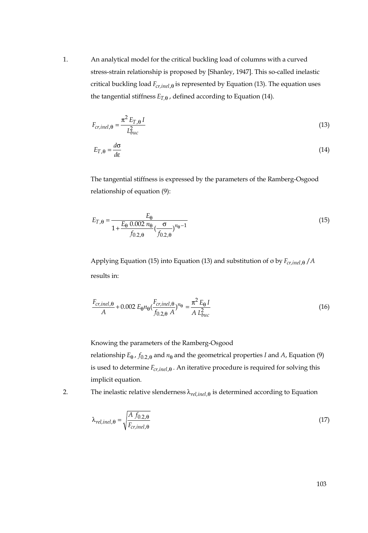1. An analytical model for the critical buckling load of columns with a curved stress-strain relationship is proposed by [Shanley, 1947]. This so-called inelastic critical buckling load  $F_{cr,inel,θ}$  is represented by Equation (13). The equation uses the tangential stiffness  $E_{T,\theta}$ , defined according to Equation (14).

$$
F_{cr,inel, \Theta} = \frac{\pi^2 E_{T,\Theta} I}{L_{buc}^2} \tag{13}
$$

$$
E_{T,\theta} = \frac{d\sigma}{d\varepsilon} \tag{14}
$$

The tangential stiffness is expressed by the parameters of the Ramberg-Osgood relationship of equation (9):

$$
E_{T,\Theta} = \frac{E_{\Theta}}{1 + \frac{E_{\Theta} 0.002 n_{\Theta}}{f_{0.2,\Theta}} \left(\frac{\sigma}{f_{0.2,\Theta}}\right)^{n_{\Theta}-1}}
$$
(15)

Applying Equation (15) into Equation (13) and substitution of σ by  $F_{cr,inel,θ}$  / *A* results in:

$$
\frac{F_{cr,inel, \Theta}}{A} + 0.002 E_{\Theta} n_{\Theta} \left( \frac{F_{cr,inel, \Theta}}{f_{0.2, \Theta} A} \right)^{n_{\Theta}} = \frac{\pi^2 E_{\Theta} I}{A L_{buc}^2}
$$
(16)

Knowing the parameters of the Ramberg-Osgood relationship  $E_\theta$ ,  $f_{0.2,\theta}$  and  $n_\theta$  and the geometrical properties *I* and *A*, Equation (9) is used to determine *Fcr,inel*,<sup>θ</sup> . An iterative procedure is required for solving this implicit equation.

2. The inelastic relative slenderness λ*rel,inel*,<sup>θ</sup> is determined according to Equation

$$
\lambda_{rel,inel,\theta} = \sqrt{\frac{A \ f_{0.2,\theta}}{F_{cr,inel,\theta}}}
$$
(17)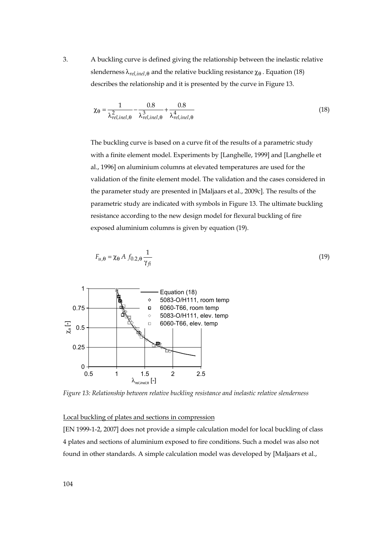3. A buckling curve is defined giving the relationship between the inelastic relative slenderness  $\lambda_{rel,inel, \theta}$  and the relative buckling resistance  $\chi_{\theta}$ . Equation (18) describes the relationship and it is presented by the curve in Figure 13.

$$
\chi_{\theta} = \frac{1}{\lambda_{rel,inel,\theta}^2} - \frac{0.8}{\lambda_{rel,inel,\theta}^3} + \frac{0.8}{\lambda_{rel,inel,\theta}^4} \tag{18}
$$

The buckling curve is based on a curve fit of the results of a parametric study with a finite element model. Experiments by [Langhelle, 1999] and [Langhelle et al., 1996] on aluminium columns at elevated temperatures are used for the validation of the finite element model. The validation and the cases considered in the parameter study are presented in [Maljaars et al., 2009c]. The results of the parametric study are indicated with symbols in Figure 13. The ultimate buckling resistance according to the new design model for flexural buckling of fire exposed aluminium columns is given by equation (19).

$$
F_{u,\theta} = \chi_{\theta} A f_{0.2,\theta} \frac{1}{\gamma_{fi}} \tag{19}
$$



*Figure 13: Relationship between relative buckling resistance and inelastic relative slenderness* 

## Local buckling of plates and sections in compression

[EN 1999-1-2, 2007] does not provide a simple calculation model for local buckling of class 4 plates and sections of aluminium exposed to fire conditions. Such a model was also not found in other standards. A simple calculation model was developed by [Maljaars et al.,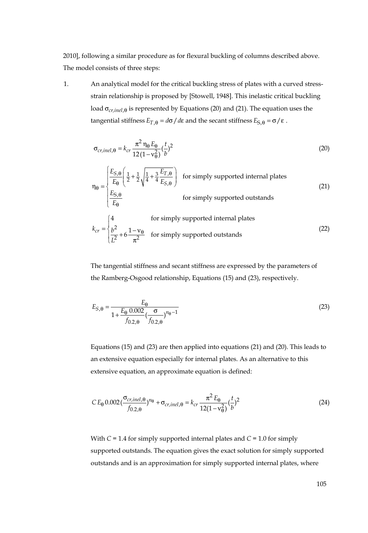2010], following a similar procedure as for flexural buckling of columns described above. The model consists of three steps:

1. An analytical model for the critical buckling stress of plates with a curved stressstrain relationship is proposed by [Stowell, 1948]. This inelastic critical buckling load σ<sub>*cr,inel*, θ is represented by Equations (20) and (21). The equation uses the</sub> tangential stiffness  $E_{T,\theta} = d\sigma/d\epsilon$  and the secant stiffness  $E_{S,\theta} = \sigma/\epsilon$ .

$$
\sigma_{cr,inel,\theta} = k_{cr} \frac{\pi^2 n_{\theta} E_{\theta}}{12(1 - v_{\theta}^2)} (\frac{t}{b})^2
$$
 (20)

$$
\eta_{\theta} = \begin{cases} \frac{E_{S,\theta}}{E_{\theta}} \left( \frac{1}{2} + \frac{1}{2} \sqrt{\frac{1}{4} + \frac{3}{4} \frac{E_{T,\theta}}{E_{S,\theta}}} \right) & \text{for simply supported internal plates} \\ \frac{E_{S,\theta}}{E_{\theta}} & \text{for simply supported outstands} \end{cases}
$$
(21)  

$$
k_{cr} = \begin{cases} \frac{4}{b^2} & \text{for simply supported internal plates} \\ \frac{b^2}{L^2} + 6 \frac{1 - v_{\theta}}{\pi^2} & \text{for simply supported outstands} \end{cases}
$$
(22)

The tangential stiffness and secant stiffness are expressed by the parameters of the Ramberg-Osgood relationship, Equations (15) and (23), respectively.

$$
E_{S,\Theta} = \frac{E_{\Theta}}{1 + \frac{E_{\Theta} 0.002}{f_{0.2,\Theta}} \left(\frac{\sigma}{f_{0.2,\Theta}}\right)^{n_{\Theta}-1}}
$$
(23)

Equations (15) and (23) are then applied into equations (21) and (20). This leads to an extensive equation especially for internal plates. As an alternative to this extensive equation, an approximate equation is defined:

$$
CE_{\theta} 0.002 \left( \frac{\sigma_{cr,inel,\theta}}{f_{0.2,\theta}} \right)^{n_{\theta}} + \sigma_{cr,inel,\theta} = k_{cr} \frac{\pi^2 E_{\theta}}{12(1 - v_{\theta}^2)} \left( \frac{t}{b} \right)^2 \tag{24}
$$

With *C* = 1.4 for simply supported internal plates and *C* = 1.0 for simply supported outstands. The equation gives the exact solution for simply supported outstands and is an approximation for simply supported internal plates, where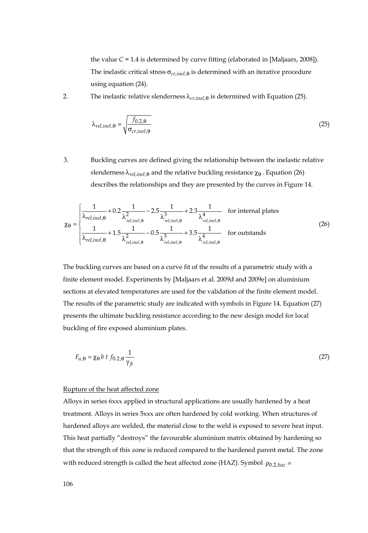the value  $C = 1.4$  is determined by curve fitting (elaborated in [Maljaars, 2008]). The inelastic critical stress  $\sigma_{cr,inel,\theta}$  is determined with an iterative procedure using equation (24).

2. The inelastic relative slenderness  $\lambda_{cr,inel, \theta}$  is determined with Equation (25).

$$
\lambda_{rel,inel,\theta} = \sqrt{\frac{f_{0.2,\theta}}{\sigma_{cr,inel,\theta}}}
$$
(25)

3. Buckling curves are defined giving the relationship between the inelastic relative slenderness  $\lambda_{rel,inel, \theta}$  and the relative buckling resistance  $\chi_{\theta}$ . Equation (26) describes the relationships and they are presented by the curves in Figure 14.

$$
\chi_{\theta} = \begin{cases}\n\frac{1}{\lambda_{rel,inel,\theta}} + 0.2 \frac{1}{\lambda_{rel,inel,\theta}^2} - 2.5 \frac{1}{\lambda_{rel,inel,\theta}^3} + 2.3 \frac{1}{\lambda_{rel,inel,\theta}^4} & \text{for internal plates} \\
\frac{1}{\lambda_{rel,inel,\theta}} + 1.5 \frac{1}{\lambda_{rel,inel,\theta}^2} - 0.5 \frac{1}{\lambda_{rel,inel,\theta}^3} + 3.5 \frac{1}{\lambda_{rel,inel,\theta}^4} & \text{for outstands}\n\end{cases}
$$
\n(26)

The buckling curves are based on a curve fit of the results of a parametric study with a finite element model. Experiments by [Maljaars et al. 2009d and 2009e] on aluminium sections at elevated temperatures are used for the validation of the finite element model. The results of the parametric study are indicated with symbols in Figure 14. Equation (27) presents the ultimate buckling resistance according to the new design model for local buckling of fire exposed aluminium plates.

$$
F_{u,\theta} = \chi_{\theta} b \ t \ f_{0.2,\theta} \frac{1}{\gamma_{fi}} \tag{27}
$$

#### Rupture of the heat affected zone

Alloys in series 6xxx applied in structural applications are usually hardened by a heat treatment. Alloys in series 5xxx are often hardened by cold working. When structures of hardened alloys are welded, the material close to the weld is exposed to severe heat input. This heat partially "destroys" the favourable aluminium matrix obtained by hardening so that the strength of this zone is reduced compared to the hardened parent metal. The zone with reduced strength is called the heat affected zone (HAZ). Symbol  $\rho_{0.2, haz}$  =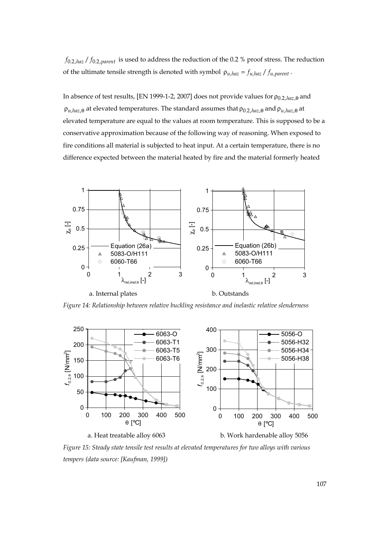$f_{0.2, haz}$  /  $f_{0.2, parent}$  is used to address the reduction of the 0.2 % proof stress. The reduction of the ultimate tensile strength is denoted with symbol  $\rho_{u,haz} = f_{u,haz} / f_{u,parent}$ .

In absence of test results, [EN 1999-1-2, 2007] does not provide values for  $\rho_{0.2, haz, \theta}$  and  $\rho_{u, haz, \theta}$  at elevated temperatures. The standard assumes that  $\rho_{0.2, haz, \theta}$  and  $\rho_{u, haz, \theta}$  at elevated temperature are equal to the values at room temperature. This is supposed to be a conservative approximation because of the following way of reasoning. When exposed to fire conditions all material is subjected to heat input. At a certain temperature, there is no difference expected between the material heated by fire and the material formerly heated



*Figure 14: Relationship between relative buckling resistance and inelastic relative slenderness* 



*Figure 15: Steady state tensile test results at elevated temperatures for two alloys with various tempers (data source: [Kaufman, 1999])*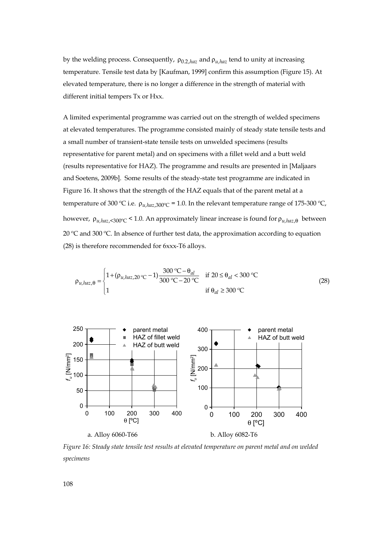by the welding process. Consequently,  $\rho_{0.2, haz}$  and  $\rho_{u,haz}$  tend to unity at increasing temperature. Tensile test data by [Kaufman, 1999] confirm this assumption (Figure 15). At elevated temperature, there is no longer a difference in the strength of material with different initial tempers Tx or Hxx.

A limited experimental programme was carried out on the strength of welded specimens at elevated temperatures. The programme consisted mainly of steady state tensile tests and a small number of transient-state tensile tests on unwelded specimens (results representative for parent metal) and on specimens with a fillet weld and a butt weld (results representative for HAZ). The programme and results are presented in [Maljaars and Soetens, 2009b]. Some results of the steady-state test programme are indicated in Figure 16. It shows that the strength of the HAZ equals that of the parent metal at a temperature of 300 °C i.e.  $\rho_{u, haz, 300^{\circ}C} = 1.0$ . In the relevant temperature range of 175-300 °C, however, ρ*u,haz*,<300ºC < 1.0. An approximately linear increase is found for ρ*u,haz*,θ between 20 ºC and 300 ºC. In absence of further test data, the approximation according to equation (28) is therefore recommended for 6xxx-T6 alloys.

$$
\rho_{u, haz, \theta} = \begin{cases} 1 + (\rho_{u, haz, 20 \text{ °C}} - 1) \frac{300 \text{ °C} - \theta_{al}}{300 \text{ °C} - 20 \text{ °C}} & \text{if } 20 \le \theta_{al} < 300 \text{ °C} \\ 1 & \text{if } \theta_{al} \ge 300 \text{ °C} \end{cases} \tag{28}
$$



*Figure 16: Steady state tensile test results at elevated temperature on parent metal and on welded specimens*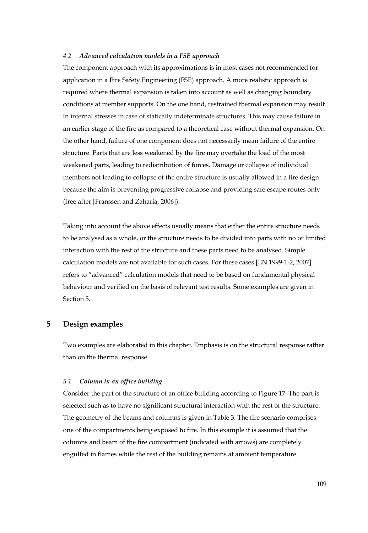#### *4.2 Advanced calculation models in a FSE approach*

The component approach with its approximations is in most cases not recommended for application in a Fire Safety Engineering (FSE) approach. A more realistic approach is required where thermal expansion is taken into account as well as changing boundary conditions at member supports. On the one hand, restrained thermal expansion may result in internal stresses in case of statically indeterminate structures. This may cause failure in an earlier stage of the fire as compared to a theoretical case without thermal expansion. On the other hand, failure of one component does not necessarily mean failure of the entire structure. Parts that are less weakened by the fire may overtake the load of the most weakened parts, leading to redistribution of forces. Damage or collapse of individual members not leading to collapse of the entire structure is usually allowed in a fire design because the aim is preventing progressive collapse and providing safe escape routes only (free after [Franssen and Zaharia, 2006]).

Taking into account the above effects usually means that either the entire structure needs to be analysed as a whole, or the structure needs to be divided into parts with no or limited interaction with the rest of the structure and these parts need to be analysed. Simple calculation models are not available for such cases. For these cases [EN 1999-1-2, 2007] refers to "advanced" calculation models that need to be based on fundamental physical behaviour and verified on the basis of relevant test results. Some examples are given in Section 5.

# **5 Design examples**

Two examples are elaborated in this chapter. Emphasis is on the structural response rather than on the thermal response.

#### *5.1 Column in an office building*

Consider the part of the structure of an office building according to Figure 17. The part is selected such as to have no significant structural interaction with the rest of the structure. The geometry of the beams and columns is given in Table 3. The fire scenario comprises one of the compartments being exposed to fire. In this example it is assumed that the columns and beam of the fire compartment (indicated with arrows) are completely engulfed in flames while the rest of the building remains at ambient temperature.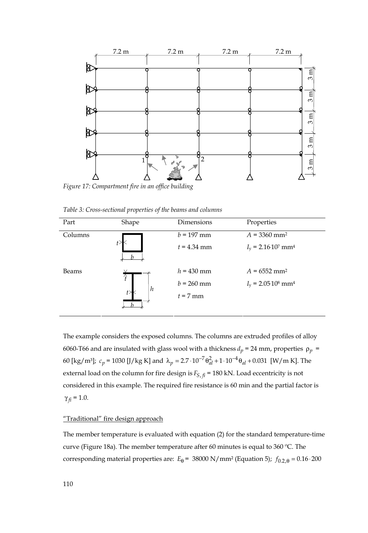

*Figure 17: Compartment fire in an office building* 

*Table 3: Cross-sectional properties of the beams and columns* 

| Part    | Shape  | Dimensions    | Properties                                         |
|---------|--------|---------------|----------------------------------------------------|
| Columns | t>     | $b = 197$ mm  | $A = 3360$ mm <sup>2</sup>                         |
|         |        | $t = 4.34$ mm | $I_v = 2.16 \cdot 10^7$ mm <sup>4</sup>            |
| Beams   | Ŧ<br>h | $h = 430$ mm  | $A = 6552$ mm <sup>2</sup>                         |
|         |        | $b = 260$ mm  | $I_{\rm v}$ = 2.05.10 <sup>8</sup> mm <sup>4</sup> |
|         |        | $t = 7$ mm    |                                                    |

The example considers the exposed columns. The columns are extruded profiles of alloy 6060-T66 and are insulated with glass wool with a thickness  $d_p = 24$  mm, properties  $\rho_p =$ 60 [kg/m<sup>3</sup>];  $c_p = 1030$  [J/kg K] and  $\lambda_p = 2.7 \cdot 10^{-7} \theta_{al}^2 + 1 \cdot 10^{-4} \theta_{al} + 0.031$  [W/m K]. The external load on the column for fire design is  $F_{S, fi}$  = 180 kN. Load eccentricity is not considered in this example. The required fire resistance is 60 min and the partial factor is  $γ<sub>f</sub> = 1.0.$ 

# "Traditional" fire design approach

The member temperature is evaluated with equation (2) for the standard temperature-time curve (Figure 18a). The member temperature after 60 minutes is equal to 360 ºC. The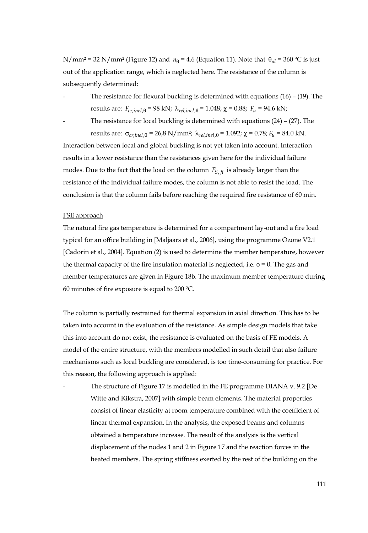N/mm<sup>2</sup> = 32 N/mm<sup>2</sup> (Figure 12) and  $n_{\theta}$  = 4.6 (Equation 11). Note that  $\theta_{al}$  = 360 °C is just out of the application range, which is neglected here. The resistance of the column is subsequently determined:

- The resistance for flexural buckling is determined with equations  $(16)$   $(19)$ . The results are:  $F_{cr,inel,θ} = 98$  kN;  $\lambda_{rel,inel,θ} = 1.048$ ;  $\chi = 0.88$ ;  $F_u = 94.6$  kN;
- 

The resistance for local buckling is determined with equations  $(24)$  –  $(27)$ . The results are:  $\sigma_{cr,inel,θ} = 26.8 \text{ N/mm}^2$ ;  $\lambda_{rel,inel,θ} = 1.092$ ;  $\chi = 0.78$ ;  $F_u = 84.0 \text{ kN}$ .

Interaction between local and global buckling is not yet taken into account. Interaction results in a lower resistance than the resistances given here for the individual failure modes. Due to the fact that the load on the column  $F_{S, fi}$  is already larger than the resistance of the individual failure modes, the column is not able to resist the load. The conclusion is that the column fails before reaching the required fire resistance of 60 min.

#### FSE approach

The natural fire gas temperature is determined for a compartment lay-out and a fire load typical for an office building in [Maljaars et al., 2006], using the programme Ozone V2.1 [Cadorin et al., 2004]. Equation (2) is used to determine the member temperature, however the thermal capacity of the fire insulation material is neglected, i.e.  $\phi = 0$ . The gas and member temperatures are given in Figure 18b. The maximum member temperature during 60 minutes of fire exposure is equal to 200 ºC.

The column is partially restrained for thermal expansion in axial direction. This has to be taken into account in the evaluation of the resistance. As simple design models that take this into account do not exist, the resistance is evaluated on the basis of FE models. A model of the entire structure, with the members modelled in such detail that also failure mechanisms such as local buckling are considered, is too time-consuming for practice. For this reason, the following approach is applied:

The structure of Figure 17 is modelled in the FE programme DIANA v. 9.2 [De Witte and Kikstra, 2007] with simple beam elements. The material properties consist of linear elasticity at room temperature combined with the coefficient of linear thermal expansion. In the analysis, the exposed beams and columns obtained a temperature increase. The result of the analysis is the vertical displacement of the nodes 1 and 2 in Figure 17 and the reaction forces in the heated members. The spring stiffness exerted by the rest of the building on the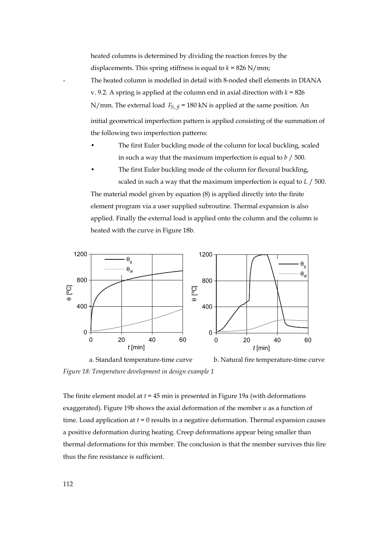heated columns is determined by dividing the reaction forces by the displacements. This spring stiffness is equal to  $k = 826$  N/mm; The heated column is modelled in detail with 8-noded shell elements in DIANA v. 9.2. A spring is applied at the column end in axial direction with  $k = 826$ N/mm. The external load  $F_{S, fi}$  = 180 kN is applied at the same position. An initial geometrical imperfection pattern is applied consisting of the summation of the following two imperfection patterns:

- The first Euler buckling mode of the column for local buckling, scaled in such a way that the maximum imperfection is equal to *b* / 500.
- The first Euler buckling mode of the column for flexural buckling, scaled in such a way that the maximum imperfection is equal to *L* / 500.

The material model given by equation (8) is applied directly into the finite element program via a user supplied subroutine. Thermal expansion is also applied. Finally the external load is applied onto the column and the column is heated with the curve in Figure 18b.



 a. Standard temperature-time curve b. Natural fire temperature-time curve *Figure 18: Temperature development in design example 1* 

The finite element model at *t* = 45 min is presented in Figure 19a (with deformations exaggerated). Figure 19b shows the axial deformation of the member *u* as a function of time. Load application at  $t = 0$  results in a negative deformation. Thermal expansion causes a positive deformation during heating. Creep deformations appear being smaller than thermal deformations for this member. The conclusion is that the member survives this fire thus the fire resistance is sufficient.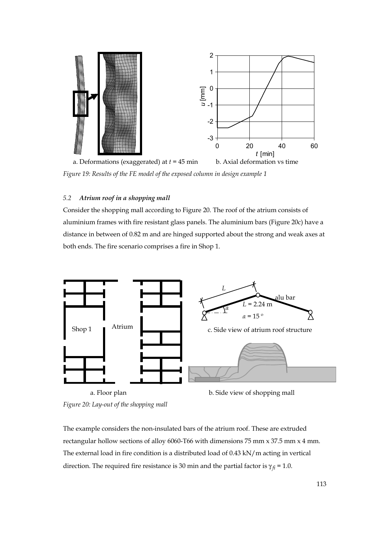

*Figure 19: Results of the FE model of the exposed column in design example 1* 

# *5.2 Atrium roof in a shopping mall*

Consider the shopping mall according to Figure 20. The roof of the atrium consists of aluminium frames with fire resistant glass panels. The aluminium bars (Figure 20c) have a distance in between of 0.82 m and are hinged supported about the strong and weak axes at both ends. The fire scenario comprises a fire in Shop 1.



*Figure 20: Lay-out of the shopping mall* 

The example considers the non-insulated bars of the atrium roof. These are extruded rectangular hollow sections of alloy 6060-T66 with dimensions 75 mm x 37.5 mm x 4 mm. The external load in fire condition is a distributed load of 0.43 kN/m acting in vertical direction. The required fire resistance is 30 min and the partial factor is  $\gamma_{fi}$  = 1.0.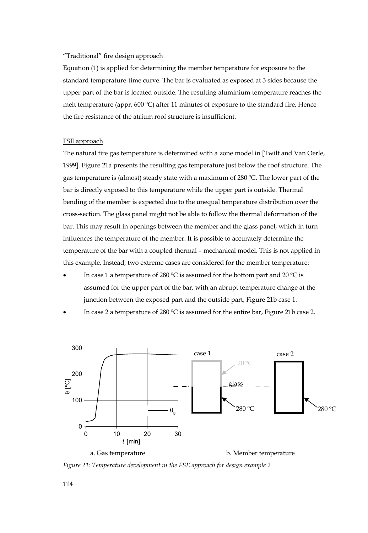# "Traditional" fire design approach

Equation (1) is applied for determining the member temperature for exposure to the standard temperature-time curve. The bar is evaluated as exposed at 3 sides because the upper part of the bar is located outside. The resulting aluminium temperature reaches the melt temperature (appr. 600 °C) after 11 minutes of exposure to the standard fire. Hence the fire resistance of the atrium roof structure is insufficient.

# FSE approach

The natural fire gas temperature is determined with a zone model in [Twilt and Van Oerle, 1999]. Figure 21a presents the resulting gas temperature just below the roof structure. The gas temperature is (almost) steady state with a maximum of 280 ºC. The lower part of the bar is directly exposed to this temperature while the upper part is outside. Thermal bending of the member is expected due to the unequal temperature distribution over the cross-section. The glass panel might not be able to follow the thermal deformation of the bar. This may result in openings between the member and the glass panel, which in turn influences the temperature of the member. It is possible to accurately determine the temperature of the bar with a coupled thermal – mechanical model. This is not applied in this example. Instead, two extreme cases are considered for the member temperature:

- In case 1 a temperature of 280 °C is assumed for the bottom part and 20 °C is assumed for the upper part of the bar, with an abrupt temperature change at the junction between the exposed part and the outside part, Figure 21b case 1.
- In case 2 a temperature of 280 ºC is assumed for the entire bar, Figure 21b case 2.



*Figure 21: Temperature development in the FSE approach for design example 2* 

114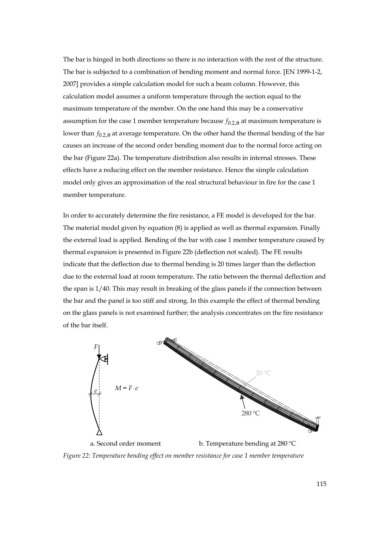The bar is hinged in both directions so there is no interaction with the rest of the structure. The bar is subjected to a combination of bending moment and normal force. [EN 1999-1-2, 2007] provides a simple calculation model for such a beam column. However, this calculation model assumes a uniform temperature through the section equal to the maximum temperature of the member. On the one hand this may be a conservative assumption for the case 1 member temperature because  $f_{0,2,\theta}$  at maximum temperature is lower than  $f_{0.2, \theta}$  at average temperature. On the other hand the thermal bending of the bar causes an increase of the second order bending moment due to the normal force acting on the bar (Figure 22a). The temperature distribution also results in internal stresses. These effects have a reducing effect on the member resistance. Hence the simple calculation model only gives an approximation of the real structural behaviour in fire for the case 1 member temperature.

In order to accurately determine the fire resistance, a FE model is developed for the bar. The material model given by equation (8) is applied as well as thermal expansion. Finally the external load is applied. Bending of the bar with case 1 member temperature caused by thermal expansion is presented in Figure 22b (deflection not scaled). The FE results indicate that the deflection due to thermal bending is 20 times larger than the deflection due to the external load at room temperature. The ratio between the thermal deflection and the span is 1/40. This may result in breaking of the glass panels if the connection between the bar and the panel is too stiff and strong. In this example the effect of thermal bending on the glass panels is not examined further; the analysis concentrates on the fire resistance of the bar itself.



*Figure 22: Temperature bending effect on member resistance for case 1 member temperature*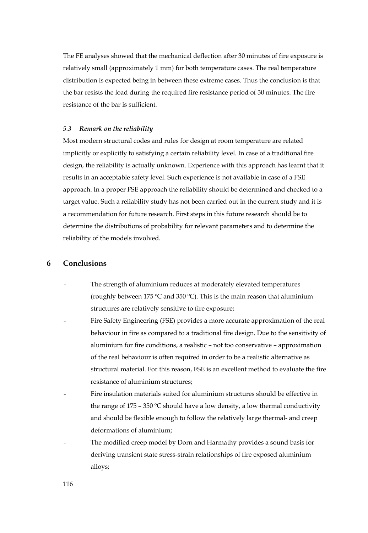The FE analyses showed that the mechanical deflection after 30 minutes of fire exposure is relatively small (approximately 1 mm) for both temperature cases. The real temperature distribution is expected being in between these extreme cases. Thus the conclusion is that the bar resists the load during the required fire resistance period of 30 minutes. The fire resistance of the bar is sufficient.

#### *5.3 Remark on the reliability*

Most modern structural codes and rules for design at room temperature are related implicitly or explicitly to satisfying a certain reliability level. In case of a traditional fire design, the reliability is actually unknown. Experience with this approach has learnt that it results in an acceptable safety level. Such experience is not available in case of a FSE approach. In a proper FSE approach the reliability should be determined and checked to a target value. Such a reliability study has not been carried out in the current study and it is a recommendation for future research. First steps in this future research should be to determine the distributions of probability for relevant parameters and to determine the reliability of the models involved.

#### **6 Conclusions**

- The strength of aluminium reduces at moderately elevated temperatures (roughly between 175  $\degree$ C and 350  $\degree$ C). This is the main reason that aluminium structures are relatively sensitive to fire exposure;
- Fire Safety Engineering (FSE) provides a more accurate approximation of the real behaviour in fire as compared to a traditional fire design. Due to the sensitivity of aluminium for fire conditions, a realistic – not too conservative – approximation of the real behaviour is often required in order to be a realistic alternative as structural material. For this reason, FSE is an excellent method to evaluate the fire resistance of aluminium structures;
- Fire insulation materials suited for aluminium structures should be effective in the range of 175 – 350 °C should have a low density, a low thermal conductivity and should be flexible enough to follow the relatively large thermal- and creep deformations of aluminium;
- The modified creep model by Dorn and Harmathy provides a sound basis for deriving transient state stress-strain relationships of fire exposed aluminium alloys;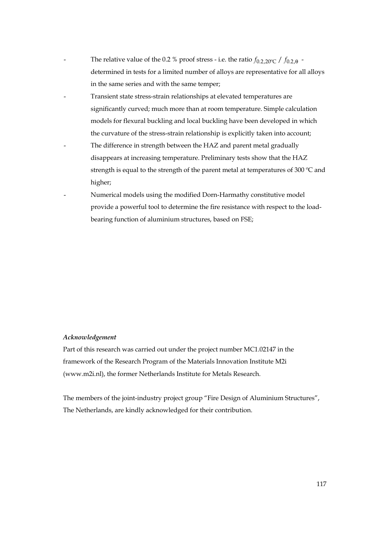- The relative value of the 0.2 % proof stress i.e. the ratio  $f_{0.2,20\degree\text{C}}/f_{0.2,8}$  determined in tests for a limited number of alloys are representative for all alloys in the same series and with the same temper;
- Transient state stress-strain relationships at elevated temperatures are significantly curved; much more than at room temperature. Simple calculation models for flexural buckling and local buckling have been developed in which the curvature of the stress-strain relationship is explicitly taken into account;
- The difference in strength between the HAZ and parent metal gradually disappears at increasing temperature. Preliminary tests show that the HAZ strength is equal to the strength of the parent metal at temperatures of 300  $^{\circ}$ C and higher;
- Numerical models using the modified Dorn-Harmathy constitutive model provide a powerful tool to determine the fire resistance with respect to the loadbearing function of aluminium structures, based on FSE;

#### *Acknowledgement*

Part of this research was carried out under the project number MC1.02147 in the framework of the Research Program of the Materials Innovation Institute M2i (www.m2i.nl), the former Netherlands Institute for Metals Research.

The members of the joint-industry project group "Fire Design of Aluminium Structures", The Netherlands, are kindly acknowledged for their contribution.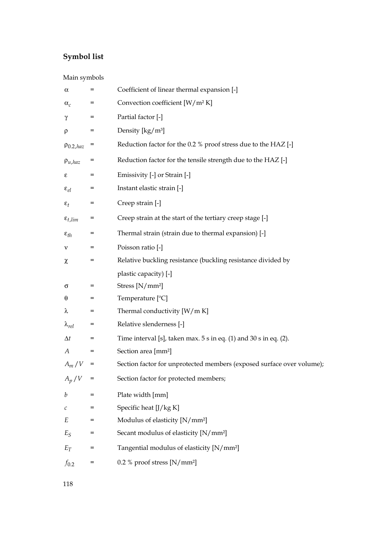# **Symbol list**

# Main symbols

| α                     | $=$ | Coefficient of linear thermal expansion [-]                           |
|-----------------------|-----|-----------------------------------------------------------------------|
| $\alpha_c$            | $=$ | Convection coefficient [W/m <sup>2</sup> K]                           |
| γ                     | $=$ | Partial factor [-]                                                    |
| ρ                     | $=$ | Density [kg/m <sup>3</sup> ]                                          |
| $\rho_{0.2, haz}$     | $=$ | Reduction factor for the 0.2 % proof stress due to the HAZ [-]        |
| $\rho_{u, haz}$       | Ξ   | Reduction factor for the tensile strength due to the HAZ [-]          |
| ε                     | $=$ | Emissivity [-] or Strain [-]                                          |
| $\varepsilon_{el}$    | $=$ | Instant elastic strain [-]                                            |
| $\varepsilon_t$       | $=$ | Creep strain [-]                                                      |
| $\varepsilon_{t,lim}$ | Ξ   | Creep strain at the start of the tertiary creep stage [-]             |
| $\varepsilon_{th}$    | $=$ | Thermal strain (strain due to thermal expansion) [-]                  |
| ν                     |     | Poisson ratio [-]                                                     |
| χ                     | $=$ | Relative buckling resistance (buckling resistance divided by          |
|                       |     | plastic capacity) [-]                                                 |
| σ                     | $=$ | Stress [N/mm <sup>2</sup> ]                                           |
| θ                     | $=$ | Temperature $[°C]$                                                    |
| λ                     | $=$ | Thermal conductivity [W/m K]                                          |
| $\lambda_{rel}$       | $=$ | Relative slenderness [-]                                              |
| $\Delta t$            | $=$ | Time interval [s], taken max. $5 s$ in eq. (1) and $30 s$ in eq. (2). |
| А                     |     | Section area [mm <sup>2</sup> ]                                       |
| $A_m\,/\,V$           | $=$ | Section factor for unprotected members (exposed surface over volume); |
| $A_p/V$               | $=$ | Section factor for protected members;                                 |
| b                     | $=$ | Plate width [mm]                                                      |
| с                     | $=$ | Specific heat [J/kg K]                                                |
| Е                     | $=$ | Modulus of elasticity [N/mm <sup>2</sup> ]                            |
| $E_S$                 | Ξ   | Secant modulus of elasticity [N/mm <sup>2</sup> ]                     |
| $E_T$                 | $=$ | Tangential modulus of elasticity [N/mm <sup>2</sup> ]                 |
|                       |     |                                                                       |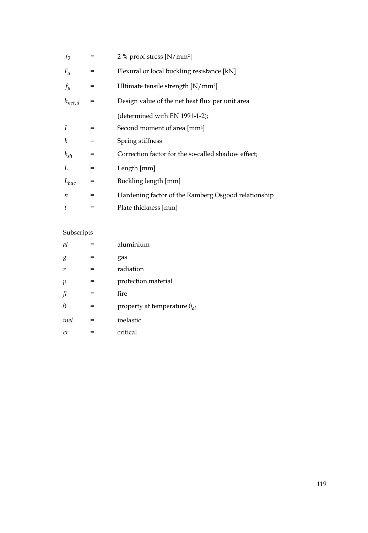| f <sub>2</sub>   | =   | 2 % proof stress $[N/mm^2]$                         |
|------------------|-----|-----------------------------------------------------|
| $F_u$            | $=$ | Flexural or local buckling resistance [kN]          |
| $f_u$            | $=$ | Ultimate tensile strength [N/mm <sup>2</sup> ]      |
| $h_{net,d}$      | $=$ | Design value of the net heat flux per unit area     |
|                  |     | (determined with EN 1991-1-2);                      |
| I                | $=$ | Second moment of area [mm <sup>4]</sup>             |
| k                | $=$ | Spring stiffness                                    |
| $k_{sh}$         | $=$ | Correction factor for the so-called shadow effect;  |
| L                | $=$ | Length [mm]                                         |
| $L_{buc}$        | $=$ | Buckling length [mm]                                |
| $\boldsymbol{n}$ | $=$ | Hardening factor of the Ramberg Osgood relationship |
| t                | =   | Plate thickness [mm]                                |

# Subscripts

| <sub>al</sub> |     | aluminium                             |
|---------------|-----|---------------------------------------|
| g             |     | gas                                   |
| r             |     | radiation                             |
| р             | =   | protection material                   |
| fi            | =   | fire                                  |
| θ             | =   | property at temperature $\theta_{al}$ |
| inel          | $=$ | inelastic                             |
| cr            |     | critical                              |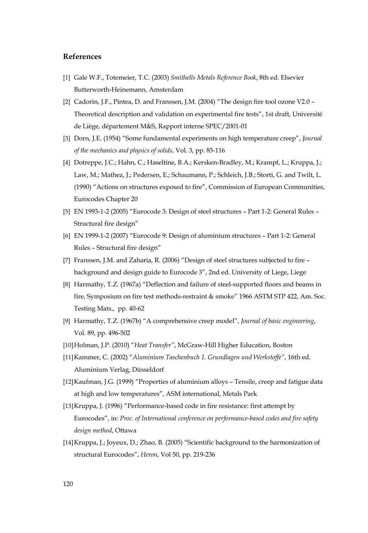# **References**

- [1] Gale W.F., Totemeier, T.C. (2003) *Smithells Metals Reference Book*, 8th ed. Elsevier Butterworth-Heinemann, Amsterdam
- [2] Cadorin, J.F., Pintea, D. and Franssen, J.M. (2004) "The design fire tool ozone V2.0 Theoretical description and validation on experimental fire tests", 1st draft, Université de Liège, département M&S, Rapport interne SPEC/2001-01
- [3] Dorn, J.E. (1954) "Some fundamental experiments on high temperature creep", *Journal of the mechanics and physics of solids*, Vol. 3, pp. 85-116
- [4] Dotreppe, J.C.; Hahn, C.; Haseltine, B.A.; Kersken-Bradley, M.; Krampf, L.; Kruppa, J.; Law, M.; Mathez, J.; Pedersen, E.; Schaumann, P.; Schleich, J.B.; Storti, G. and Twilt, L. (1990) "Actions on structures exposed to fire", Commission of European Communities, Eurocodes Chapter 20
- [5] EN 1993-1-2 (2005) "Eurocode 3: Design of steel structures Part 1-2: General Rules Structural fire design"
- [6] EN 1999-1-2 (2007) "Eurocode 9: Design of aluminium structures Part 1-2: General Rules – Structural fire design"
- [7] Franssen, J.M. and Zaharia, R. (2006) "Design of steel structures subjected to fire background and design guide to Eurocode 3", 2nd ed. University of Liege, Liege
- [8] Harmathy, T.Z. (1967a) "Deflection and failure of steel-supported floors and beams in fire, Symposium on fire test methods-restraint & smoke" 1966 ASTM STP 422, Am. Soc. Testing Mats., pp. 40-62
- [9] Harmathy, T.Z. (1967b) "A comprehensive creep model", *Journal of basic engineering*, Vol. 89, pp. 496-502
- [10]Holman, J.P. (2010) "*Heat Transfer"*, McGraw-Hill Higher Education, Boston
- [11]Kammer, C. (2002) "*Aluminium Taschenbuch 1. Grundlagen und Werkstoffe"*, 16th ed. Aluminium Verlag, Düsseldorf
- [12]Kaufman, J.G. (1999) "Properties of aluminium alloys Tensile, creep and fatigue data at high and low temperatures", ASM international, Metals Park
- [13] Kruppa, J. (1996) "Performance-based code in fire resistance: first attempt by Eurocodes", in: *Proc. of International conference on performance-based codes and fire safety design method*, Ottawa
- [14]Kruppa, J.; Joyeux, D.; Zhao, B. (2005) "Scientific background to the harmonization of structural Eurocodes", *Heron*, Vol 50, pp. 219-236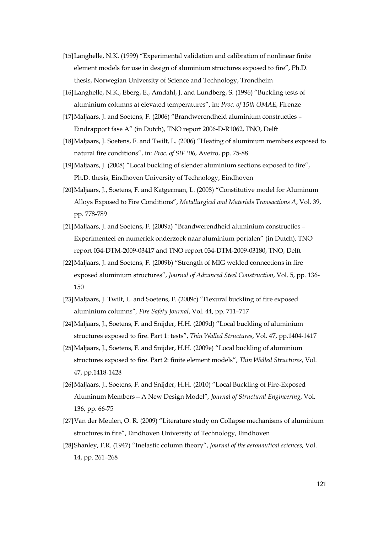- [15]Langhelle, N.K. (1999) "Experimental validation and calibration of nonlinear finite element models for use in design of aluminium structures exposed to fire", Ph.D. thesis, Norwegian University of Science and Technology, Trondheim
- [16] Langhelle, N.K., Eberg, E., Amdahl, J. and Lundberg, S. (1996) "Buckling tests of aluminium columns at elevated temperatures", in: *Proc. of 15th OMAE*, Firenze
- [17]Maljaars, J. and Soetens, F. (2006) "Brandwerendheid aluminium constructies Eindrapport fase A" (in Dutch), TNO report 2006-D-R1062, TNO, Delft
- [18]Maljaars, J. Soetens, F. and Twilt, L. (2006) "Heating of aluminium members exposed to natural fire conditions", in: *Proc. of SIF '06*, Aveiro, pp. 75-88
- [19]Maljaars, J. (2008) "Local buckling of slender aluminium sections exposed to fire", Ph.D. thesis, Eindhoven University of Technology, Eindhoven
- [20]Maljaars, J., Soetens, F. and Katgerman, L. (2008) "Constitutive model for Aluminum Alloys Exposed to Fire Conditions", *Metallurgical and Materials Transactions A*, Vol. 39, pp. 778-789
- [21]Maljaars, J. and Soetens, F. (2009a) "Brandwerendheid aluminium constructies Experimenteel en numeriek onderzoek naar aluminium portalen" (in Dutch), TNO report 034-DTM-2009-03417 and TNO report 034-DTM-2009-03180, TNO, Delft
- [22]Maljaars, J. and Soetens, F. (2009b) "Strength of MIG welded connections in fire exposed aluminium structures", *Journal of Advanced Steel Construction*, Vol. 5, pp. 136- 150
- [23]Maljaars, J. Twilt, L. and Soetens, F. (2009c) "Flexural buckling of fire exposed aluminium columns"*, Fire Safety Journal*, Vol. 44, pp. 711–717
- [24]Maljaars, J., Soetens, F. and Snijder, H.H. (2009d) "Local buckling of aluminium structures exposed to fire. Part 1: tests", *Thin Walled Structures*, Vol. 47, pp.1404-1417
- [25]Maljaars, J., Soetens, F. and Snijder, H.H. (2009e) "Local buckling of aluminium structures exposed to fire. Part 2: finite element models", *Thin Walled Structures*, Vol. 47, pp.1418-1428
- [26]Maljaars, J., Soetens, F. and Snijder, H.H. (2010) "Local Buckling of Fire-Exposed Aluminum Members—A New Design Model"*, Journal of Structural Engineering*, Vol. 136, pp. 66-75
- [27]Van der Meulen, O. R. (2009) "Literature study on Collapse mechanisms of aluminium structures in fire", Eindhoven University of Technology, Eindhoven
- [28]Shanley, F.R. (1947) "Inelastic column theory", *Journal of the aeronautical sciences*, Vol. 14, pp. 261–268